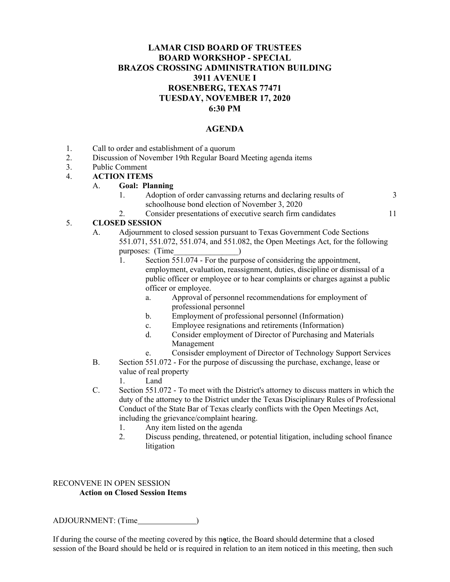### **LAMAR CISD BOARD OF TRUSTEES BOARD WORKSHOP - SPECIAL BRAZOS CROSSING ADMINISTRATION BUILDING 3911 AVENUE I ROSENBERG, TEXAS 77471 TUESDAY, NOVEMBER 17, 2020 6:30 PM**

### **AGENDA**

- 1. Call to order and establishment of a quorum
- 2. Discussion of November 19th Regular Board Meeting agenda items
- 3. Public Comment

#### 4. **ACTION ITEMS**

### A. **Goal: Planning**

1. Adoption of order canvassing returns and declaring results of schoolhouse bond election of November 3, 2020 11

3

2. Consider presentations of executive search firm candidates

## 5. **CLOSED SESSION**

- A. Adjournment to closed session pursuant to Texas Government Code Sections 551.071, 551.072, 551.074, and 551.082, the Open Meetings Act, for the following purposes: (Time )
	- 1. Section  $551.074$  For the purpose of considering the appointment, employment, evaluation, reassignment, duties, discipline or dismissal of a public officer or employee or to hear complaints or charges against a public officer or employee.
		- a. Approval of personnel recommendations for employment of professional personnel
		- b. Employment of professional personnel (Information)
		- c. Employee resignations and retirements (Information)
		- d. Consider employment of Director of Purchasing and Materials Management
		- e. Consisder employment of Director of Technology Support Services
- B. Section 551.072 For the purpose of discussing the purchase, exchange, lease or value of real property
	- 1. Land
- C. Section 551.072 To meet with the District's attorney to discuss matters in which the duty of the attorney to the District under the Texas Disciplinary Rules of Professional Conduct of the State Bar of Texas clearly conflicts with the Open Meetings Act, including the grievance/complaint hearing.
	- 1. Any item listed on the agenda
	- 2. Discuss pending, threatened, or potential litigation, including school finance litigation

#### RECONVENE IN OPEN SESSION **Action on Closed Session Items**

ADJOURNMENT: (Time )

If during the course of the meeting covered by this notice, the Board should determine that a closed session of the Board should be held or is required in relation to an item noticed in this meeting, then such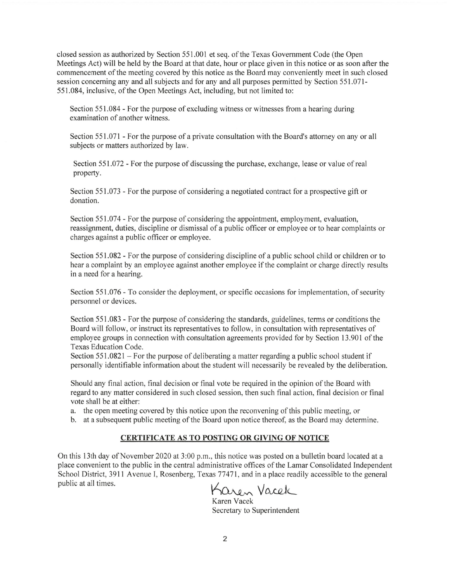closed session as authorized by Section 551.001 et seq. of the Texas Government Code (the Open Meetings Act) will be held by the Board at that date, hour or place given in this notice or as soon after the commencement of the meeting covered by this notice as the Board may conveniently meet in such closed session concerning any and all subjects and for any and all purposes permitted by Section 551.071-551.084, inclusive, of the Open Meetings Act, including, but not limited to:

Section 551.084 - For the purpose of excluding witness or witnesses from a hearing during examination of another witness.

Section 551.071 - For the purpose of a private consultation with the Board's attorney on any or all subjects or matters authorized by law.

Section 551.072 - For the purpose of discussing the purchase, exchange, lease or value of real property.

Section 551.073 - For the purpose of considering a negotiated contract for a prospective gift or donation.

Section 551.074 - For the purpose of considering the appointment, employment, evaluation, reassignment, duties, discipline or dismissal of a public officer or employee or to hear complaints or charges against a public officer or employee.

Section 551,082 - For the purpose of considering discipline of a public school child or children or to hear a complaint by an employee against another employee if the complaint or charge directly results in a need for a hearing.

Section 551.076 - To consider the deployment, or specific occasions for implementation, of security personnel or devices.

Section 551.083 - For the purpose of considering the standards, guidelines, terms or conditions the Board will follow, or instruct its representatives to follow, in consultation with representatives of employee groups in connection with consultation agreements provided for by Section 13.901 of the Texas Education Code.

Section 551.0821 – For the purpose of deliberating a matter regarding a public school student if personally identifiable information about the student will necessarily be revealed by the deliberation.

Should any final action, final decision or final vote be required in the opinion of the Board with regard to any matter considered in such closed session, then such final action, final decision or final vote shall be at either:

a. the open meeting covered by this notice upon the reconvening of this public meeting, or

b. at a subsequent public meeting of the Board upon notice thereof, as the Board may determine.

#### **CERTIFICATE AS TO POSTING OR GIVING OF NOTICE**

On this 13th day of November 2020 at 3:00 p.m., this notice was posted on a bulletin board located at a place convenient to the public in the central administrative offices of the Lamar Consolidated Independent School District, 3911 Avenue I, Rosenberg, Texas 77471, and in a place readily accessible to the general public at all times.

Karen Vacek

Karen Vacek Secretary to Superintendent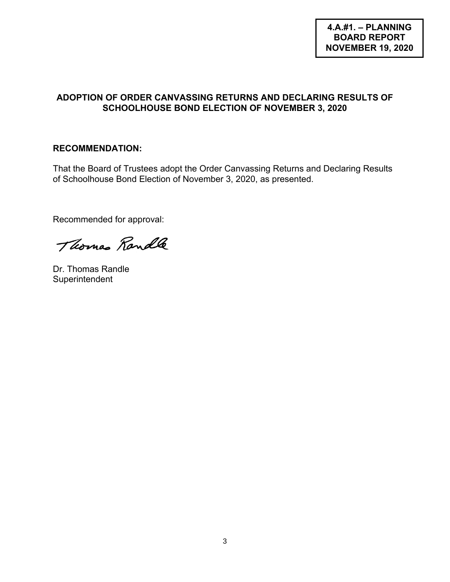## **ADOPTION OF ORDER CANVASSING RETURNS AND DECLARING RESULTS OF SCHOOLHOUSE BOND ELECTION OF NOVEMBER 3, 2020**

# **RECOMMENDATION:**

That the Board of Trustees adopt the Order Canvassing Returns and Declaring Results of Schoolhouse Bond Election of November 3, 2020, as presented.

Recommended for approval:

Thomas Randle

Dr. Thomas Randle Superintendent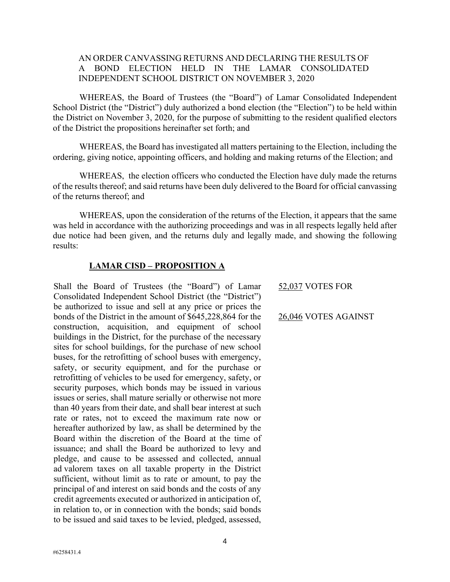### AN ORDER CANVASSING RETURNS AND DECLARING THE RESULTS OF A BOND ELECTION HELD IN THE LAMAR CONSOLIDATED INDEPENDENT SCHOOL DISTRICT ON NOVEMBER 3, 2020

WHEREAS, the Board of Trustees (the "Board") of Lamar Consolidated Independent School District (the "District") duly authorized a bond election (the "Election") to be held within the District on November 3, 2020, for the purpose of submitting to the resident qualified electors of the District the propositions hereinafter set forth; and

WHEREAS, the Board has investigated all matters pertaining to the Election, including the ordering, giving notice, appointing officers, and holding and making returns of the Election; and

WHEREAS, the election officers who conducted the Election have duly made the returns of the results thereof; and said returns have been duly delivered to the Board for official canvassing of the returns thereof; and

WHEREAS, upon the consideration of the returns of the Election, it appears that the same was held in accordance with the authorizing proceedings and was in all respects legally held after due notice had been given, and the returns duly and legally made, and showing the following results:

### **LAMAR CISD – PROPOSITION A**

Shall the Board of Trustees (the "Board") of Lamar Consolidated Independent School District (the "District") be authorized to issue and sell at any price or prices the bonds of the District in the amount of \$645,228,864 for the construction, acquisition, and equipment of school buildings in the District, for the purchase of the necessary sites for school buildings, for the purchase of new school buses, for the retrofitting of school buses with emergency, safety, or security equipment, and for the purchase or retrofitting of vehicles to be used for emergency, safety, or security purposes, which bonds may be issued in various issues or series, shall mature serially or otherwise not more than 40 years from their date, and shall bear interest at such rate or rates, not to exceed the maximum rate now or hereafter authorized by law, as shall be determined by the Board within the discretion of the Board at the time of issuance; and shall the Board be authorized to levy and pledge, and cause to be assessed and collected, annual ad valorem taxes on all taxable property in the District sufficient, without limit as to rate or amount, to pay the principal of and interest on said bonds and the costs of any credit agreements executed or authorized in anticipation of, in relation to, or in connection with the bonds; said bonds to be issued and said taxes to be levied, pledged, assessed,

52,037 VOTES FOR

26,046 VOTES AGAINST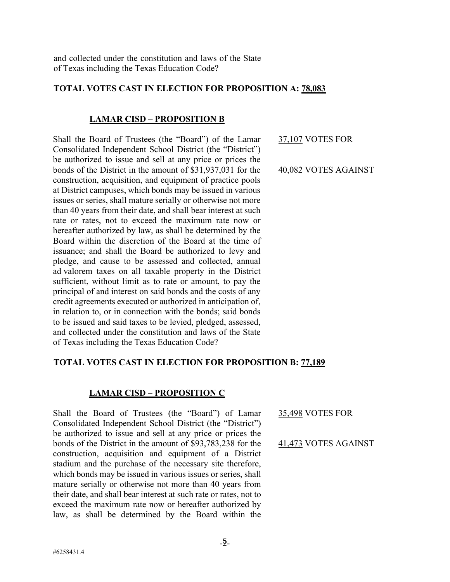and collected under the constitution and laws of the State of Texas including the Texas Education Code?

### **TOTAL VOTES CAST IN ELECTION FOR PROPOSITION A: 78,083**

#### **LAMAR CISD – PROPOSITION B**

Shall the Board of Trustees (the "Board") of the Lamar Consolidated Independent School District (the "District") be authorized to issue and sell at any price or prices the bonds of the District in the amount of \$31,937,031 for the construction, acquisition, and equipment of practice pools at District campuses, which bonds may be issued in various issues or series, shall mature serially or otherwise not more than 40 years from their date, and shall bear interest at such rate or rates, not to exceed the maximum rate now or hereafter authorized by law, as shall be determined by the Board within the discretion of the Board at the time of issuance; and shall the Board be authorized to levy and pledge, and cause to be assessed and collected, annual ad valorem taxes on all taxable property in the District sufficient, without limit as to rate or amount, to pay the principal of and interest on said bonds and the costs of any credit agreements executed or authorized in anticipation of, in relation to, or in connection with the bonds; said bonds to be issued and said taxes to be levied, pledged, assessed, and collected under the constitution and laws of the State of Texas including the Texas Education Code?

### 37,107 VOTES FOR

40,082 VOTES AGAINST

### **TOTAL VOTES CAST IN ELECTION FOR PROPOSITION B: 77,189**

#### **LAMAR CISD – PROPOSITION C**

Shall the Board of Trustees (the "Board") of Lamar Consolidated Independent School District (the "District") be authorized to issue and sell at any price or prices the bonds of the District in the amount of \$93,783,238 for the construction, acquisition and equipment of a District stadium and the purchase of the necessary site therefore, which bonds may be issued in various issues or series, shall mature serially or otherwise not more than 40 years from their date, and shall bear interest at such rate or rates, not to exceed the maximum rate now or hereafter authorized by law, as shall be determined by the Board within the

### 35,498 VOTES FOR

41,473 VOTES AGAINST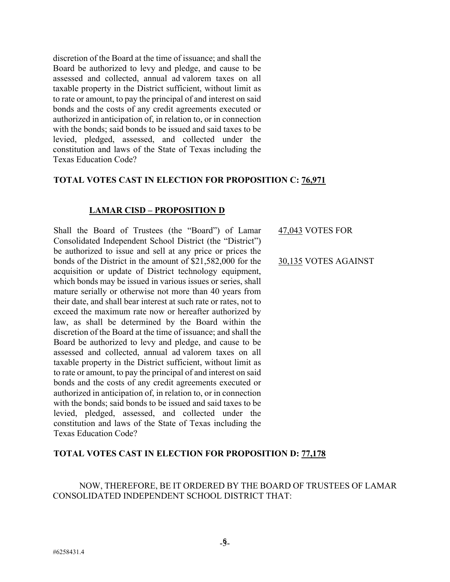discretion of the Board at the time of issuance; and shall the Board be authorized to levy and pledge, and cause to be assessed and collected, annual ad valorem taxes on all taxable property in the District sufficient, without limit as to rate or amount, to pay the principal of and interest on said bonds and the costs of any credit agreements executed or authorized in anticipation of, in relation to, or in connection with the bonds; said bonds to be issued and said taxes to be levied, pledged, assessed, and collected under the constitution and laws of the State of Texas including the Texas Education Code?

### **TOTAL VOTES CAST IN ELECTION FOR PROPOSITION C: 76,971**

### **LAMAR CISD – PROPOSITION D**

Shall the Board of Trustees (the "Board") of Lamar Consolidated Independent School District (the "District") be authorized to issue and sell at any price or prices the bonds of the District in the amount of \$21,582,000 for the acquisition or update of District technology equipment, which bonds may be issued in various issues or series, shall mature serially or otherwise not more than 40 years from their date, and shall bear interest at such rate or rates, not to exceed the maximum rate now or hereafter authorized by law, as shall be determined by the Board within the discretion of the Board at the time of issuance; and shall the Board be authorized to levy and pledge, and cause to be assessed and collected, annual ad valorem taxes on all taxable property in the District sufficient, without limit as to rate or amount, to pay the principal of and interest on said bonds and the costs of any credit agreements executed or authorized in anticipation of, in relation to, or in connection with the bonds; said bonds to be issued and said taxes to be levied, pledged, assessed, and collected under the constitution and laws of the State of Texas including the Texas Education Code?

47,043 VOTES FOR

30,135 VOTES AGAINST

#### **TOTAL VOTES CAST IN ELECTION FOR PROPOSITION D: 77,178**

## NOW, THEREFORE, BE IT ORDERED BY THE BOARD OF TRUSTEES OF LAMAR CONSOLIDATED INDEPENDENT SCHOOL DISTRICT THAT: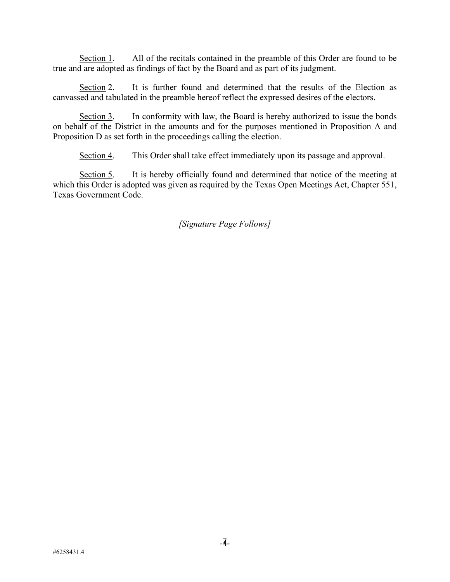Section 1. All of the recitals contained in the preamble of this Order are found to be true and are adopted as findings of fact by the Board and as part of its judgment.

Section 2. It is further found and determined that the results of the Election as canvassed and tabulated in the preamble hereof reflect the expressed desires of the electors.

Section 3. In conformity with law, the Board is hereby authorized to issue the bonds on behalf of the District in the amounts and for the purposes mentioned in Proposition A and Proposition D as set forth in the proceedings calling the election.

Section 4. This Order shall take effect immediately upon its passage and approval.

Section 5. It is hereby officially found and determined that notice of the meeting at which this Order is adopted was given as required by the Texas Open Meetings Act, Chapter 551, Texas Government Code.

*[Signature Page Follows]*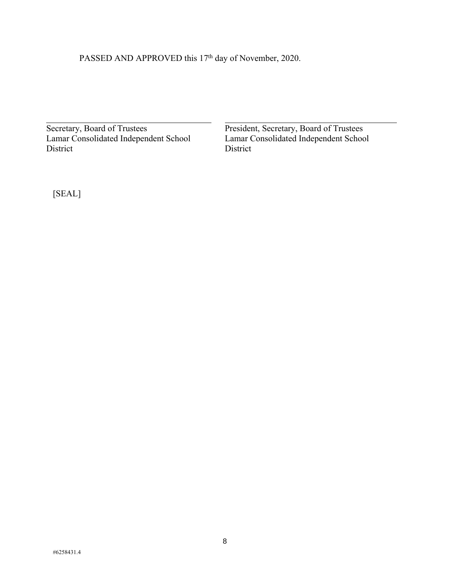PASSED AND APPROVED this 17<sup>th</sup> day of November, 2020.

Secretary, Board of Trustees Lamar Consolidated Independent School District

President, Secretary, Board of Trustees Lamar Consolidated Independent School District

[SEAL]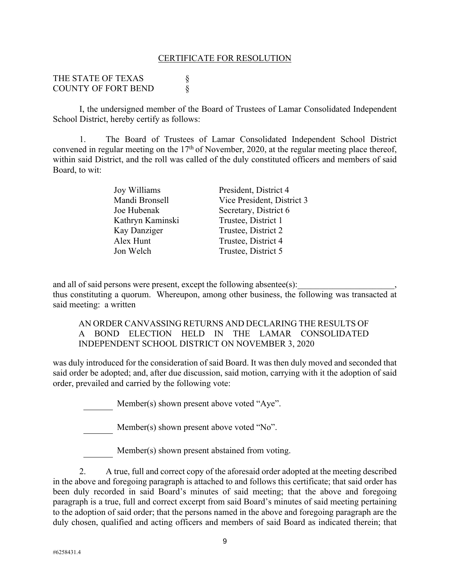#### CERTIFICATE FOR RESOLUTION

## THE STATE OF TEXAS<br>COUNTY OF FORT BEND  $\S$ COUNTY OF FORT BEND

I, the undersigned member of the Board of Trustees of Lamar Consolidated Independent School District, hereby certify as follows:

1. The Board of Trustees of Lamar Consolidated Independent School District convened in regular meeting on the  $17<sup>th</sup>$  of November, 2020, at the regular meeting place thereof, within said District, and the roll was called of the duly constituted officers and members of said Board, to wit:

| Joy Williams     | President, District 4      |
|------------------|----------------------------|
| Mandi Bronsell   | Vice President, District 3 |
| Joe Hubenak      | Secretary, District 6      |
| Kathryn Kaminski | Trustee, District 1        |
| Kay Danziger     | Trustee, District 2        |
| Alex Hunt        | Trustee, District 4        |
| Jon Welch        | Trustee, District 5        |

and all of said persons were present, except the following absentee(s): thus constituting a quorum. Whereupon, among other business, the following was transacted at said meeting: a written

AN ORDER CANVASSING RETURNS AND DECLARING THE RESULTS OF A BOND ELECTION HELD IN THE LAMAR CONSOLIDATED INDEPENDENT SCHOOL DISTRICT ON NOVEMBER 3, 2020

was duly introduced for the consideration of said Board. It was then duly moved and seconded that said order be adopted; and, after due discussion, said motion, carrying with it the adoption of said order, prevailed and carried by the following vote:

Member(s) shown present above voted "Aye".

Member(s) shown present above voted "No".

Member(s) shown present abstained from voting.

2. A true, full and correct copy of the aforesaid order adopted at the meeting described in the above and foregoing paragraph is attached to and follows this certificate; that said order has been duly recorded in said Board's minutes of said meeting; that the above and foregoing paragraph is a true, full and correct excerpt from said Board's minutes of said meeting pertaining to the adoption of said order; that the persons named in the above and foregoing paragraph are the duly chosen, qualified and acting officers and members of said Board as indicated therein; that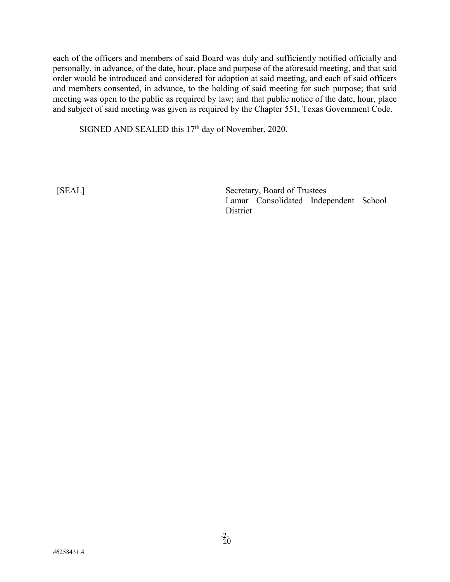each of the officers and members of said Board was duly and sufficiently notified officially and personally, in advance, of the date, hour, place and purpose of the aforesaid meeting, and that said order would be introduced and considered for adoption at said meeting, and each of said officers and members consented, in advance, to the holding of said meeting for such purpose; that said meeting was open to the public as required by law; and that public notice of the date, hour, place and subject of said meeting was given as required by the Chapter 551, Texas Government Code.

SIGNED AND SEALED this 17th day of November, 2020.

[SEAL] Secretary, Board of Trustees Lamar Consolidated Independent School District